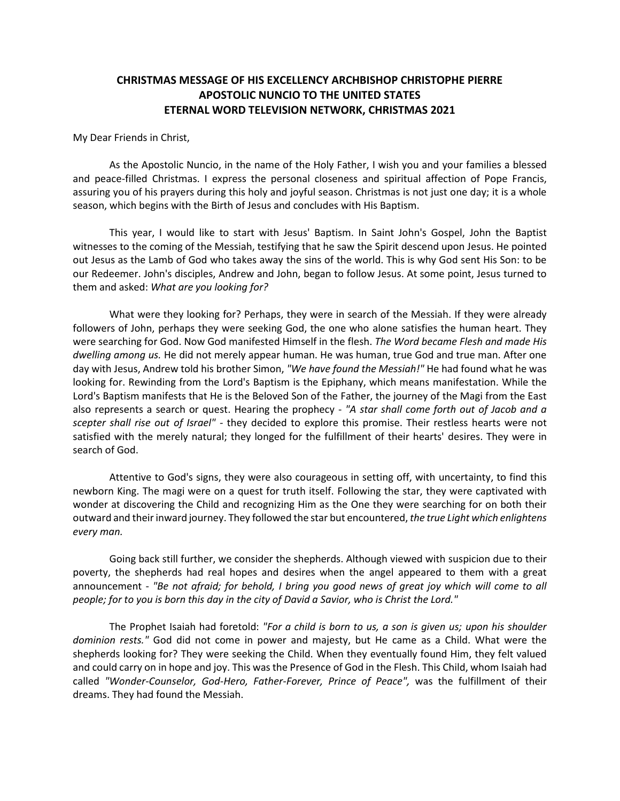## **CHRISTMAS MESSAGE OF HIS EXCELLENCY ARCHBISHOP CHRISTOPHE PIERRE APOSTOLIC NUNCIO TO THE UNITED STATES ETERNAL WORD TELEVISION NETWORK, CHRISTMAS 2021**

My Dear Friends in Christ,

As the Apostolic Nuncio, in the name of the Holy Father, I wish you and your families a blessed and peace-filled Christmas. I express the personal closeness and spiritual affection of Pope Francis, assuring you of his prayers during this holy and joyful season. Christmas is not just one day; it is a whole season, which begins with the Birth of Jesus and concludes with His Baptism.

This year, I would like to start with Jesus' Baptism. In Saint John's Gospel, John the Baptist witnesses to the coming of the Messiah, testifying that he saw the Spirit descend upon Jesus. He pointed out Jesus as the Lamb of God who takes away the sins of the world. This is why God sent His Son: to be our Redeemer. John's disciples, Andrew and John, began to follow Jesus. At some point, Jesus turned to them and asked: *What are you looking for?*

What were they looking for? Perhaps, they were in search of the Messiah. If they were already followers of John, perhaps they were seeking God, the one who alone satisfies the human heart. They were searching for God. Now God manifested Himself in the flesh. *The Word became Flesh and made His dwelling among us.* He did not merely appear human. He was human, true God and true man. After one day with Jesus, Andrew told his brother Simon, *"We have found the Messiah!"* He had found what he was looking for. Rewinding from the Lord's Baptism is the Epiphany, which means manifestation. While the Lord's Baptism manifests that He is the Beloved Son of the Father, the journey of the Magi from the East also represents a search or quest. Hearing the prophecy - *"A star shall come forth out of Jacob and a scepter shall rise out of Israel" -* they decided to explore this promise. Their restless hearts were not satisfied with the merely natural; they longed for the fulfillment of their hearts' desires. They were in search of God.

Attentive to God's signs, they were also courageous in setting off, with uncertainty, to find this newborn King. The magi were on a quest for truth itself. Following the star, they were captivated with wonder at discovering the Child and recognizing Him as the One they were searching for on both their outward and theirinward journey. They followed the star but encountered, *the true Light which enlightens every man.*

Going back still further, we consider the shepherds. Although viewed with suspicion due to their poverty, the shepherds had real hopes and desires when the angel appeared to them with a great announcement - *"Be not afraid; for behold, I bring you good news of great joy which will come to all people; for to you is born this day in the city of David a Savior, who is Christ the Lord."*

The Prophet Isaiah had foretold: *"For a child is born to us, a son is given us; upon his shoulder dominion rests."* God did not come in power and majesty, but He came as a Child. What were the shepherds looking for? They were seeking the Child. When they eventually found Him, they felt valued and could carry on in hope and joy. This was the Presence of God in the Flesh. This Child, whom Isaiah had called *"Wonder-Counselor, God-Hero, Father-Forever, Prince of Peace",* was the fulfillment of their dreams. They had found the Messiah.